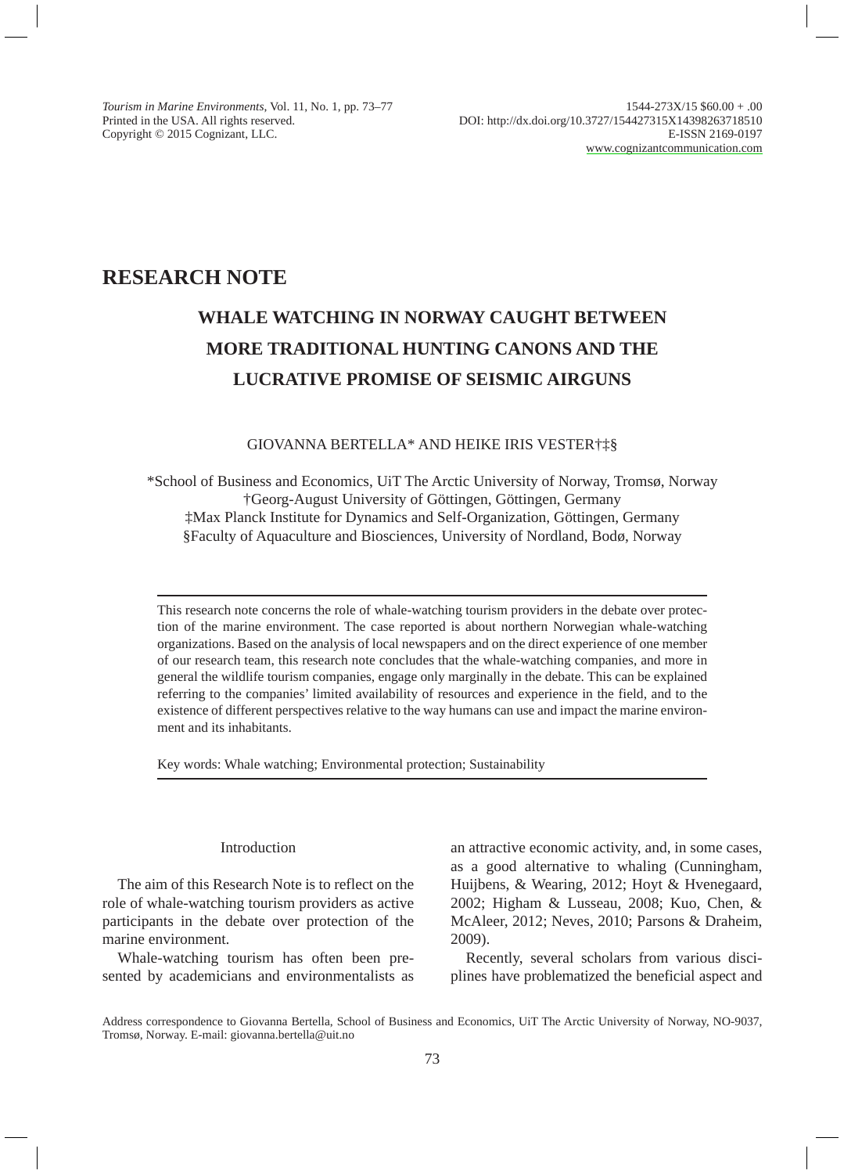## **RESEARCH NOTE**

# **WHALE WATCHING IN NORWAY CAUGHT BETWEEN MORE TRADITIONAL HUNTING CANONS AND THE LUCRATIVE PROMISE OF SEISMIC AIRGUNS**

## GIOVANNA BERTELLA\* AND HEIKE IRIS VESTER†‡§

\*School of Business and Economics, UiT The Arctic University of Norway, Tromsø, Norway †Georg-August University of Göttingen, Göttingen, Germany ‡Max Planck Institute for Dynamics and Self-Organization, Göttingen, Germany §Faculty of Aquaculture and Biosciences, University of Nordland, Bodø, Norway

This research note concerns the role of whale-watching tourism providers in the debate over protection of the marine environment. The case reported is about northern Norwegian whale-watching organizations. Based on the analysis of local newspapers and on the direct experience of one member of our research team, this research note concludes that the whale-watching companies, and more in general the wildlife tourism companies, engage only marginally in the debate. This can be explained referring to the companies' limited availability of resources and experience in the field, and to the existence of different perspectives relative to the way humans can use and impact the marine environment and its inhabitants.

Key words: Whale watching; Environmental protection; Sustainability

## Introduction

The aim of this Research Note is to reflect on the role of whale-watching tourism providers as active participants in the debate over protection of the marine environment.

Whale-watching tourism has often been presented by academicians and environmentalists as an attractive economic activity, and, in some cases, as a good alternative to whaling (Cunningham, Huijbens, & Wearing, 2012; Hoyt & Hvenegaard, 2002; Higham & Lusseau, 2008; Kuo, Chen, & McAleer, 2012; Neves, 2010; Parsons & Draheim, 2009).

Recently, several scholars from various disciplines have problematized the beneficial aspect and

Address correspondence to Giovanna Bertella, School of Business and Economics, UiT The Arctic University of Norway, NO-9037, Tromsø, Norway. E-mail: giovanna.bertella@uit.no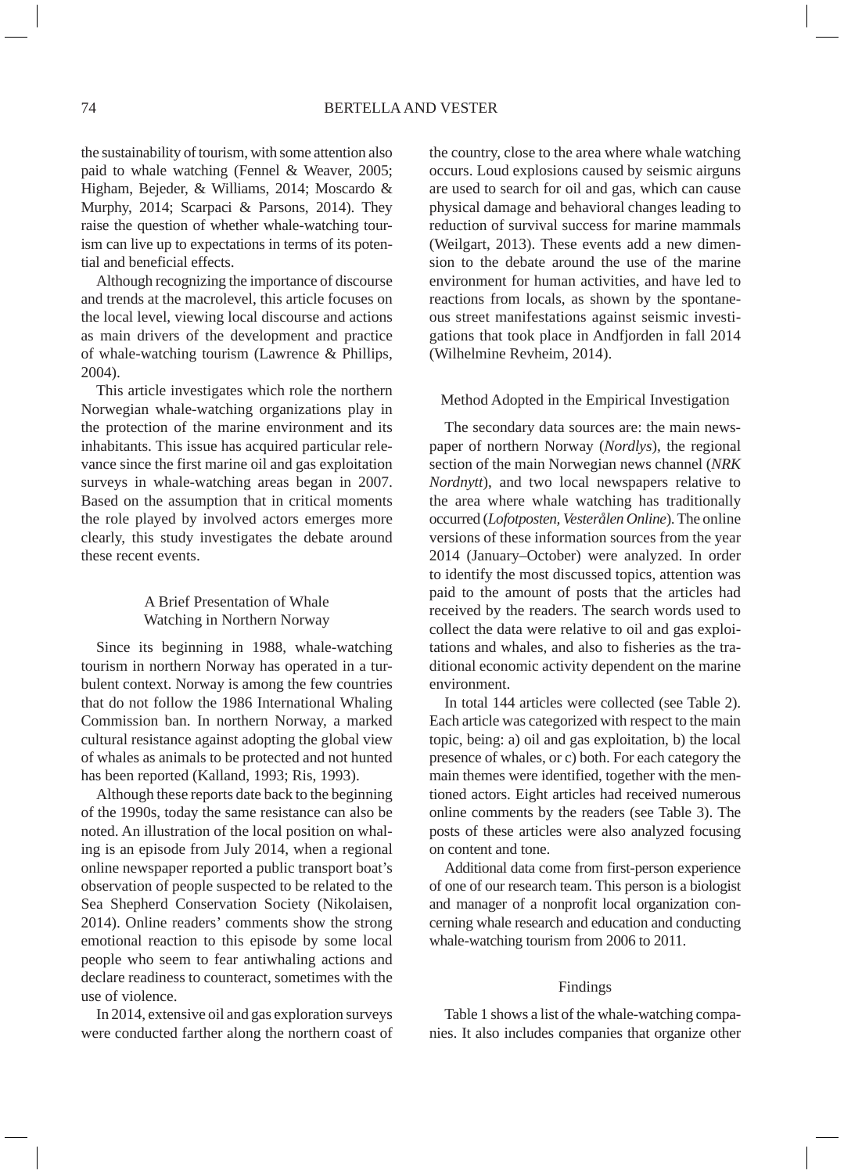the sustainability of tourism, with some attention also paid to whale watching (Fennel & Weaver, 2005; Higham, Bejeder, & Williams, 2014; Moscardo & Murphy, 2014; Scarpaci & Parsons, 2014). They raise the question of whether whale-watching tourism can live up to expectations in terms of its potential and beneficial effects.

Although recognizing the importance of discourse and trends at the macrolevel, this article focuses on the local level, viewing local discourse and actions as main drivers of the development and practice of whale-watching tourism (Lawrence & Phillips, 2004).

This article investigates which role the northern Norwegian whale-watching organizations play in the protection of the marine environment and its inhabitants. This issue has acquired particular relevance since the first marine oil and gas exploitation surveys in whale-watching areas began in 2007. Based on the assumption that in critical moments the role played by involved actors emerges more clearly, this study investigates the debate around these recent events.

## A Brief Presentation of Whale Watching in Northern Norway

Since its beginning in 1988, whale-watching tourism in northern Norway has operated in a turbulent context. Norway is among the few countries that do not follow the 1986 International Whaling Commission ban. In northern Norway, a marked cultural resistance against adopting the global view of whales as animals to be protected and not hunted has been reported (Kalland, 1993; Ris, 1993).

Although these reports date back to the beginning of the 1990s, today the same resistance can also be noted. An illustration of the local position on whaling is an episode from July 2014, when a regional online newspaper reported a public transport boat's observation of people suspected to be related to the Sea Shepherd Conservation Society (Nikolaisen, 2014). Online readers' comments show the strong emotional reaction to this episode by some local people who seem to fear antiwhaling actions and declare readiness to counteract, sometimes with the use of violence.

In 2014, extensive oil and gas exploration surveys were conducted farther along the northern coast of

the country, close to the area where whale watching occurs. Loud explosions caused by seismic airguns are used to search for oil and gas, which can cause physical damage and behavioral changes leading to reduction of survival success for marine mammals (Weilgart, 2013). These events add a new dimension to the debate around the use of the marine environment for human activities, and have led to reactions from locals, as shown by the spontaneous street manifestations against seismic investigations that took place in Andfjorden in fall 2014 (Wilhelmine Revheim, 2014).

#### Method Adopted in the Empirical Investigation

The secondary data sources are: the main newspaper of northern Norway (*Nordlys*), the regional section of the main Norwegian news channel (*NRK Nordnytt*), and two local newspapers relative to the area where whale watching has traditionally occurred (*Lofotposten, Vesterålen Online*). The online versions of these information sources from the year 2014 (January–October) were analyzed. In order to identify the most discussed topics, attention was paid to the amount of posts that the articles had received by the readers. The search words used to collect the data were relative to oil and gas exploitations and whales, and also to fisheries as the traditional economic activity dependent on the marine environment.

In total 144 articles were collected (see Table 2). Each article was categorized with respect to the main topic, being: a) oil and gas exploitation, b) the local presence of whales, or c) both. For each category the main themes were identified, together with the mentioned actors. Eight articles had received numerous online comments by the readers (see Table 3). The posts of these articles were also analyzed focusing on content and tone.

Additional data come from first-person experience of one of our research team. This person is a biologist and manager of a nonprofit local organization concerning whale research and education and conducting whale-watching tourism from 2006 to 2011.

#### Findings

Table 1 shows a list of the whale-watching companies. It also includes companies that organize other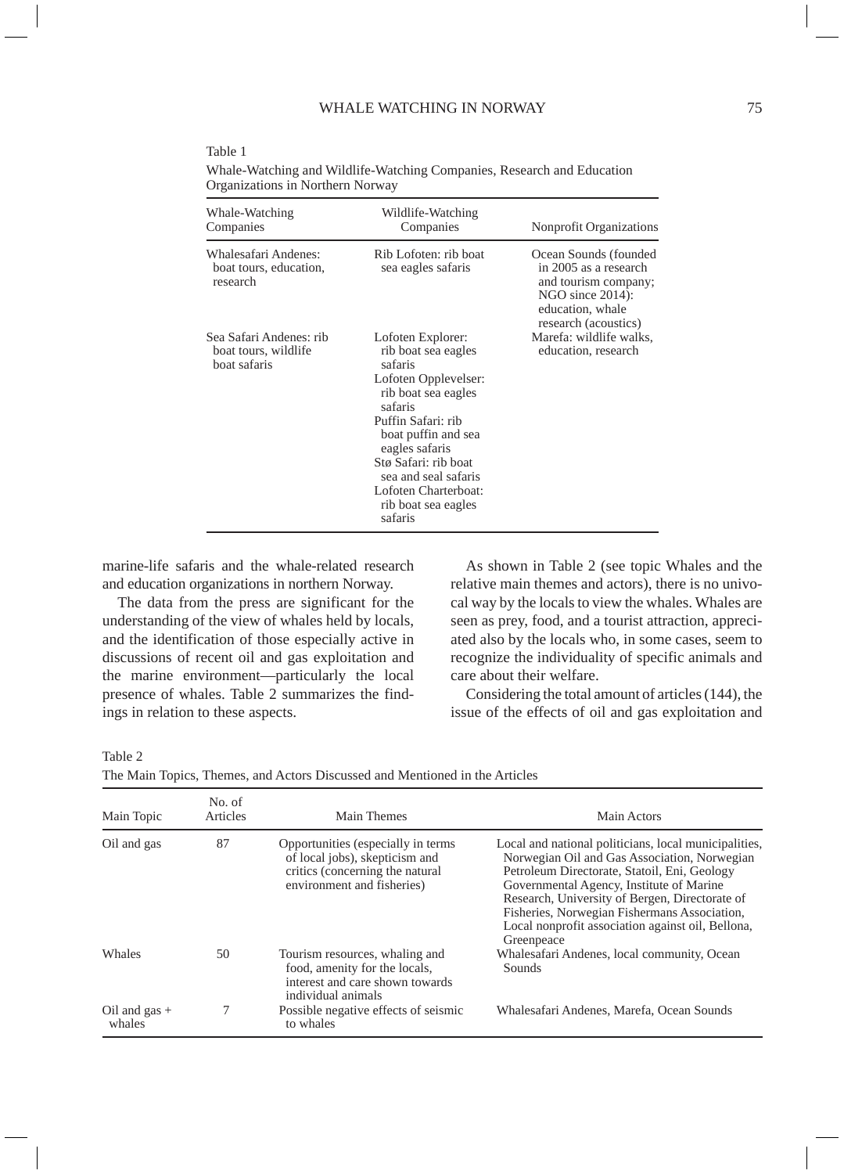| Whale-Watching<br>Companies                                     | Wildlife-Watching<br>Companies                                                                                                                                                                                                                                                         | Nonprofit Organizations                                                                                                                |
|-----------------------------------------------------------------|----------------------------------------------------------------------------------------------------------------------------------------------------------------------------------------------------------------------------------------------------------------------------------------|----------------------------------------------------------------------------------------------------------------------------------------|
| Whalesafari Andenes:<br>boat tours, education,<br>research      | Rib Lofoten: rib boat<br>sea eagles safaris                                                                                                                                                                                                                                            | Ocean Sounds (founded<br>in 2005 as a research<br>and tourism company;<br>NGO since 2014):<br>education, whale<br>research (acoustics) |
| Sea Safari Andenes: rib<br>boat tours, wildlife<br>boat safaris | Lofoten Explorer:<br>rib boat sea eagles<br>safaris<br>Lofoten Opplevelser:<br>rib boat sea eagles<br>safaris<br>Puffin Safari: rib<br>boat puffin and sea<br>eagles safaris<br>Stø Safari: rib boat<br>sea and seal safaris<br>Lofoten Charterboat:<br>rib boat sea eagles<br>safaris | Marefa: wildlife walks,<br>education, research                                                                                         |

Whale-Watching and Wildlife-Watching Companies, Research and Education Organizations in Northern Norway

marine-life safaris and the whale-related research and education organizations in northern Norway.

Table 1

The data from the press are significant for the understanding of the view of whales held by locals, and the identification of those especially active in discussions of recent oil and gas exploitation and the marine environment—particularly the local presence of whales. Table 2 summarizes the findings in relation to these aspects.

As shown in Table 2 (see topic Whales and the relative main themes and actors), there is no univocal way by the locals to view the whales. Whales are seen as prey, food, and a tourist attraction, appreciated also by the locals who, in some cases, seem to recognize the individuality of specific animals and care about their welfare.

Considering the total amount of articles (144), the issue of the effects of oil and gas exploitation and

Table 2

| The Main Topics, Themes, and Actors Discussed and Mentioned in the Articles |  |
|-----------------------------------------------------------------------------|--|
|-----------------------------------------------------------------------------|--|

| Main Topic                | No. of<br>Articles | Main Themes                                                                                                                            | Main Actors                                                                                                                                                                                                                                                                                                                                                            |
|---------------------------|--------------------|----------------------------------------------------------------------------------------------------------------------------------------|------------------------------------------------------------------------------------------------------------------------------------------------------------------------------------------------------------------------------------------------------------------------------------------------------------------------------------------------------------------------|
| Oil and gas               | 87                 | Opportunities (especially in terms)<br>of local jobs), skepticism and<br>critics (concerning the natural<br>environment and fisheries) | Local and national politicians, local municipalities,<br>Norwegian Oil and Gas Association, Norwegian<br>Petroleum Directorate, Statoil, Eni, Geology<br>Governmental Agency, Institute of Marine<br>Research, University of Bergen, Directorate of<br>Fisheries, Norwegian Fishermans Association,<br>Local nonprofit association against oil, Bellona,<br>Greenpeace |
| Whales                    | 50                 | Tourism resources, whaling and<br>food, amenity for the locals,<br>interest and care shown towards<br>individual animals               | Whalesafari Andenes, local community, Ocean<br><b>Sounds</b>                                                                                                                                                                                                                                                                                                           |
| Oil and gas $+$<br>whales |                    | Possible negative effects of seismic<br>to whales                                                                                      | Whalesafari Andenes, Marefa, Ocean Sounds                                                                                                                                                                                                                                                                                                                              |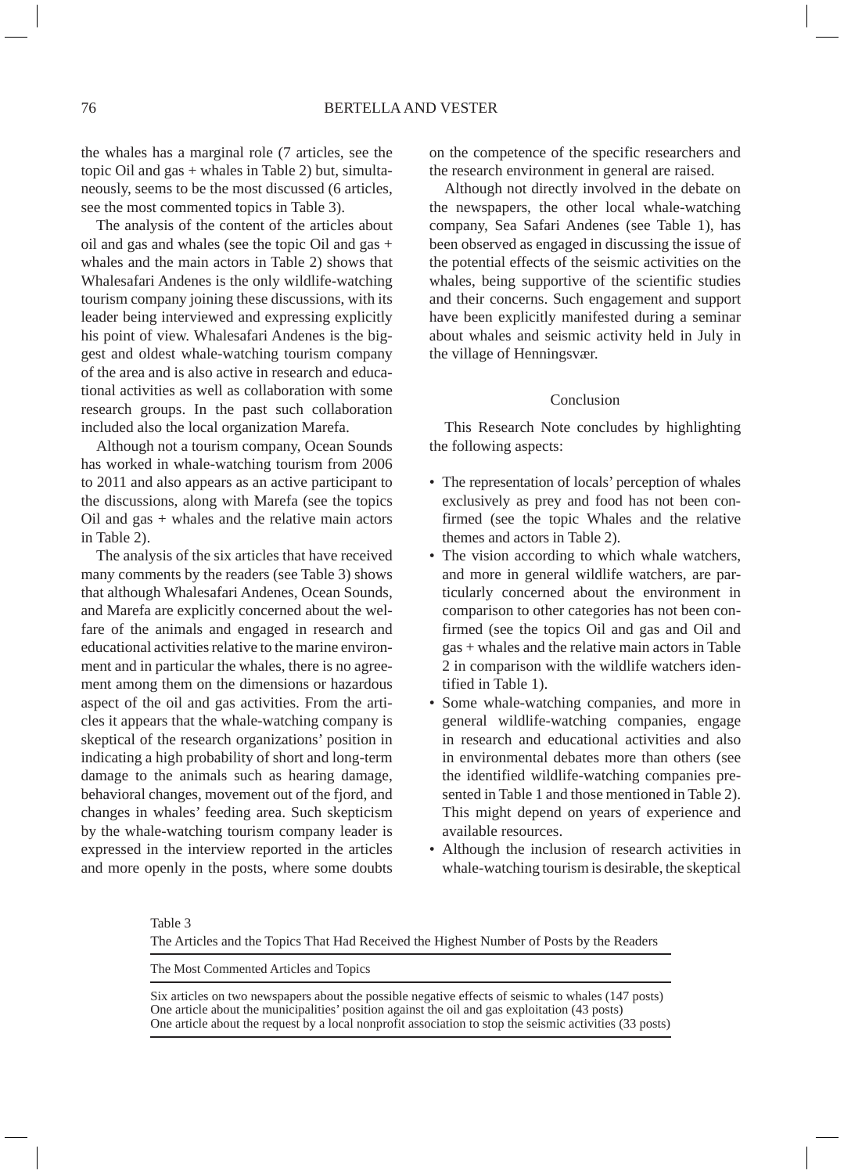the whales has a marginal role (7 articles, see the topic Oil and  $gas +$  whales in Table 2) but, simultaneously, seems to be the most discussed (6 articles, see the most commented topics in Table 3).

The analysis of the content of the articles about oil and gas and whales (see the topic Oil and gas + whales and the main actors in Table 2) shows that Whalesafari Andenes is the only wildlife-watching tourism company joining these discussions, with its leader being interviewed and expressing explicitly his point of view. Whalesafari Andenes is the biggest and oldest whale-watching tourism company of the area and is also active in research and educational activities as well as collaboration with some research groups. In the past such collaboration included also the local organization Marefa.

Although not a tourism company, Ocean Sounds has worked in whale-watching tourism from 2006 to 2011 and also appears as an active participant to the discussions, along with Marefa (see the topics Oil and gas + whales and the relative main actors in Table 2).

The analysis of the six articles that have received many comments by the readers (see Table 3) shows that although Whalesafari Andenes, Ocean Sounds, and Marefa are explicitly concerned about the welfare of the animals and engaged in research and educational activities relative to the marine environment and in particular the whales, there is no agreement among them on the dimensions or hazardous aspect of the oil and gas activities. From the articles it appears that the whale-watching company is skeptical of the research organizations' position in indicating a high probability of short and long-term damage to the animals such as hearing damage, behavioral changes, movement out of the fjord, and changes in whales' feeding area. Such skepticism by the whale-watching tourism company leader is expressed in the interview reported in the articles and more openly in the posts, where some doubts

on the competence of the specific researchers and the research environment in general are raised.

Although not directly involved in the debate on the newspapers, the other local whale-watching company, Sea Safari Andenes (see Table 1), has been observed as engaged in discussing the issue of the potential effects of the seismic activities on the whales, being supportive of the scientific studies and their concerns. Such engagement and support have been explicitly manifested during a seminar about whales and seismic activity held in July in the village of Henningsvær.

#### Conclusion

This Research Note concludes by highlighting the following aspects:

- The representation of locals' perception of whales exclusively as prey and food has not been confirmed (see the topic Whales and the relative themes and actors in Table 2).
- The vision according to which whale watchers, and more in general wildlife watchers, are particularly concerned about the environment in comparison to other categories has not been confirmed (see the topics Oil and gas and Oil and gas + whales and the relative main actors in Table 2 in comparison with the wildlife watchers identified in Table 1).
- Some whale-watching companies, and more in general wildlife-watching companies, engage in research and educational activities and also in environmental debates more than others (see the identified wildlife-watching companies presented in Table 1 and those mentioned in Table 2). This might depend on years of experience and available resources.
- Although the inclusion of research activities in whale-watching tourism is desirable, the skeptical

Table 3

The Articles and the Topics That Had Received the Highest Number of Posts by the Readers

The Most Commented Articles and Topics

Six articles on two newspapers about the possible negative effects of seismic to whales (147 posts) One article about the municipalities' position against the oil and gas exploitation (43 posts) One article about the request by a local nonprofit association to stop the seismic activities (33 posts)